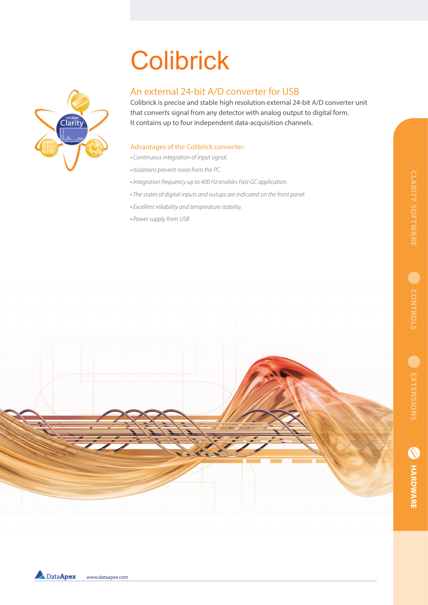# **Colibrick**



## An external 24-bit A/D converter for USB

Colibrick is precise and stable high resolution external 24-bit A/D converter unit that converts signal from any detector with analog output to digital form. It contains up to four independent data-acquisition channels.

### Advantages of the Colibrick converter:

- *Continuous integration of input signal.*
- *Isolations prevent noise from the PC.*
- *Integration frequency up to 400 Hz enables Fast GC application.*
- *The states of digital inputs and outups are indicated on the front panel.*
- *Excellent reliability and temperature stability.*
- *Power supply from USB*